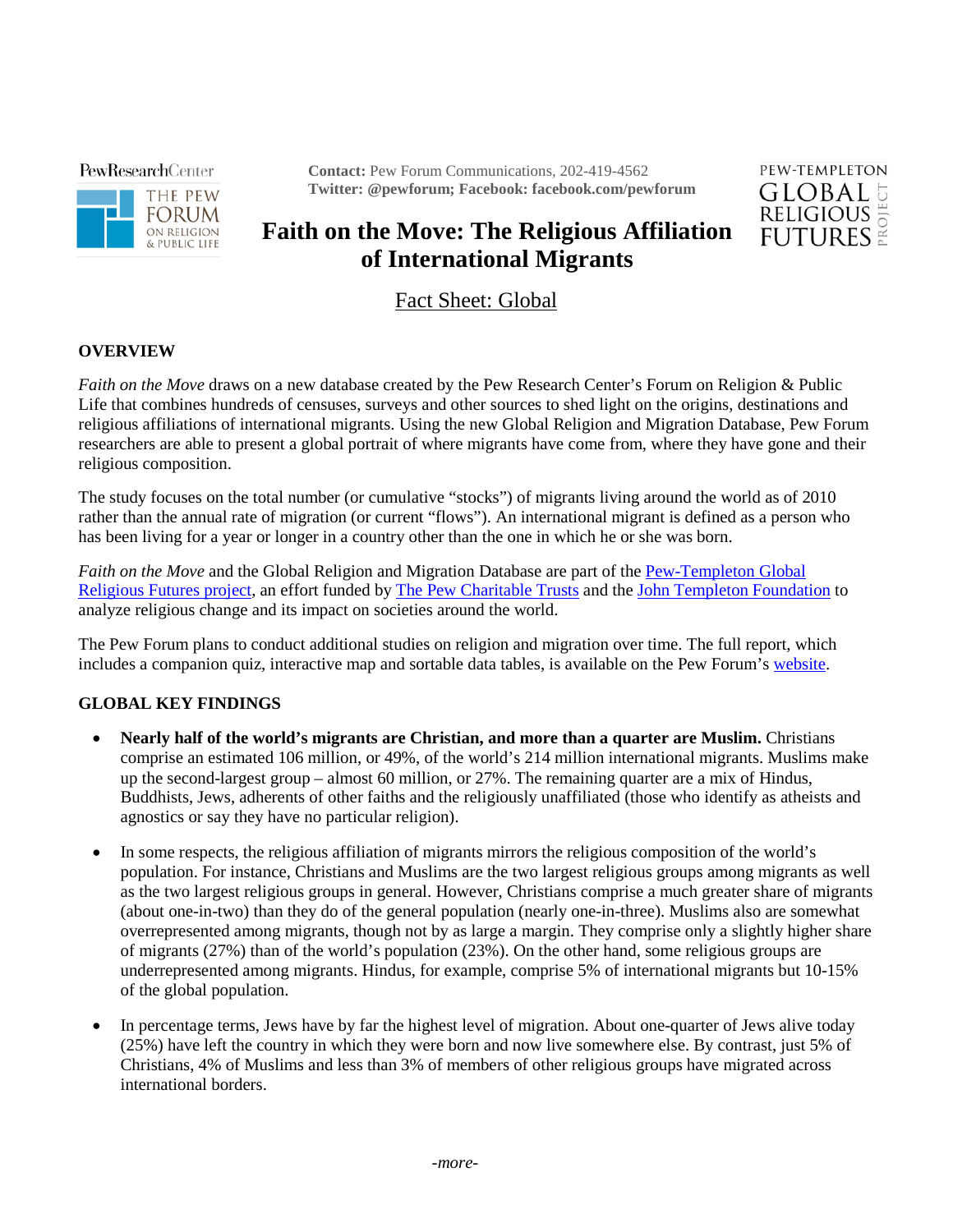**PewResearchCenter** 



**Contact:** Pew Forum Communications, 202-419-4562 **Twitter: @pewforum; Facebook: facebook.com/pewforum**



## **Faith on the Move: The Religious Affiliation of International Migrants**

Fact Sheet: Global

## **OVERVIEW**

*Faith on the Move* draws on a new database created by the Pew Research Center's Forum on Religion & Public Life that combines hundreds of censuses, surveys and other sources to shed light on the origins, destinations and religious affiliations of international migrants. Using the new Global Religion and Migration Database, Pew Forum researchers are able to present a global portrait of where migrants have come from, where they have gone and their religious composition.

The study focuses on the total number (or cumulative "stocks") of migrants living around the world as of 2010 rather than the annual rate of migration (or current "flows"). An international migrant is defined as a person who has been living for a year or longer in a country other than the one in which he or she was born.

*Faith on the Move* and the Global Religion and Migration Database are part of the **[Pew-Templeton Global](http://pewforum.org/the-pew-templeton-global-religious-futures-project.aspx)** [Religious Futures project,](http://pewforum.org/the-pew-templeton-global-religious-futures-project.aspx) an effort funded by [The Pew Charitable Trusts](http://www.pewtrusts.org/) and the [John Templeton Foundation](http://www.templeton.org/) to analyze religious change and its impact on societies around the world.

The Pew Forum plans to conduct additional studies on religion and migration over time. The full report, which includes a companion quiz, interactive map and sortable data tables, is available on the Pew Forum's [website.](http://www.pewforum.org/)

## **GLOBAL KEY FINDINGS**

- **Nearly half of the world's migrants are Christian, and more than a quarter are Muslim.** Christians comprise an estimated 106 million, or 49%, of the world's 214 million international migrants. Muslims make up the second-largest group – almost 60 million, or 27%. The remaining quarter are a mix of Hindus, Buddhists, Jews, adherents of other faiths and the religiously unaffiliated (those who identify as atheists and agnostics or say they have no particular religion).
- In some respects, the religious affiliation of migrants mirrors the religious composition of the world's population. For instance, Christians and Muslims are the two largest religious groups among migrants as well as the two largest religious groups in general. However, Christians comprise a much greater share of migrants (about one-in-two) than they do of the general population (nearly one-in-three). Muslims also are somewhat overrepresented among migrants, though not by as large a margin. They comprise only a slightly higher share of migrants (27%) than of the world's population (23%). On the other hand, some religious groups are underrepresented among migrants. Hindus, for example, comprise 5% of international migrants but 10-15% of the global population.
- In percentage terms, Jews have by far the highest level of migration. About one-quarter of Jews alive today (25%) have left the country in which they were born and now live somewhere else. By contrast, just 5% of Christians, 4% of Muslims and less than 3% of members of other religious groups have migrated across international borders.